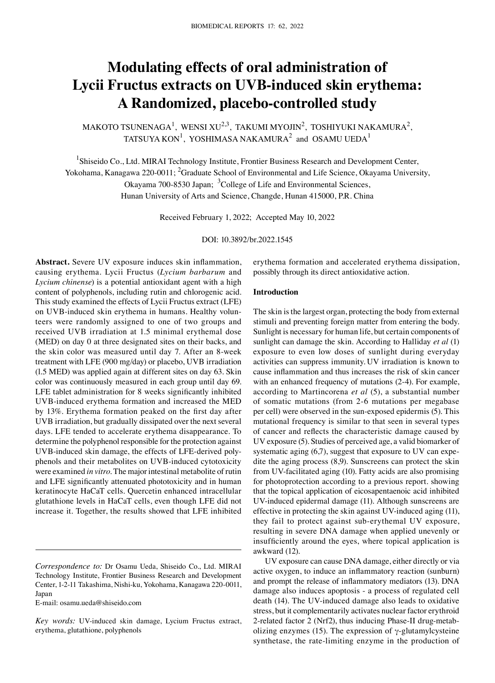# **Modulating effects of oral administration of Lycii Fructus extracts on UVB‑induced skin erythema: A Randomized, placebo‑controlled study**

MAKOTO TSUNENAGA<sup>1</sup>, WENSI XU<sup>2,3</sup>, TAKUMI MYOJIN<sup>2</sup>, TOSHIYUKI NAKAMURA<sup>2</sup>, TATSUYA KON $^1$ , YOSHIMASA NAKAMURA $^2$  and OSAMU UEDA $^1$ 

<sup>1</sup>Shiseido Co., Ltd. MIRAI Technology Institute, Frontier Business Research and Development Center, Yokohama, Kanagawa 220-0011; <sup>2</sup>Graduate School of Environmental and Life Science, Okayama University, Okayama 700-8530 Japan; <sup>3</sup>College of Life and Environmental Sciences,

Hunan University of Arts and Science, Changde, Hunan 415000, P.R. China

Received February 1, 2022; Accepted May 10, 2022

DOI: 10.3892/br.2022.1545

**Abstract.** Severe UV exposure induces skin inflammation, causing erythema. Lycii Fructus (*Lycium barbarum* and *Lycium chinense*) is a potential antioxidant agent with a high content of polyphenols, including rutin and chlorogenic acid. This study examined the effects of Lycii Fructus extract (LFE) on UVB-induced skin erythema in humans. Healthy volunteers were randomly assigned to one of two groups and received UVB irradiation at 1.5 minimal erythemal dose (MED) on day 0 at three designated sites on their backs, and the skin color was measured until day 7. After an 8‑week treatment with LFE (900 mg/day) or placebo, UVB irradiation (l.5 MED) was applied again at different sites on day 63. Skin color was continuously measured in each group until day 69. LFE tablet administration for 8 weeks significantly inhibited UVB‑induced erythema formation and increased the MED by 13%. Erythema formation peaked on the first day after UVB irradiation, but gradually dissipated over the next several days. LFE tended to accelerate erythema disappearance. To determine the polyphenol responsible for the protection against UVB-induced skin damage, the effects of LFE-derived polyphenols and their metabolites on UVB‑induced cytotoxicity were examined *in vitro*. The major intestinal metabolite of rutin and LFE significantly attenuated phototoxicity and in human keratinocyte HaCaT cells. Quercetin enhanced intracellular glutathione levels in HaCaT cells, even though LFE did not increase it. Together, the results showed that LFE inhibited

E‑mail: osamu.ueda@shiseido.com

erythema formation and accelerated erythema dissipation, possibly through its direct antioxidative action.

#### **Introduction**

The skin is the largest organ, protecting the body from external stimuli and preventing foreign matter from entering the body. Sunlight is necessary for human life, but certain components of sunlight can damage the skin. According to Halliday *et al* (1) exposure to even low doses of sunlight during everyday activities can suppress immunity. UV irradiation is known to cause inflammation and thus increases the risk of skin cancer with an enhanced frequency of mutations (2‑4). For example, according to Martincorena *et al* (5), a substantial number of somatic mutations (from 2‑6 mutations per megabase per cell) were observed in the sun‑exposed epidermis (5). This mutational frequency is similar to that seen in several types of cancer and reflects the characteristic damage caused by UV exposure (5). Studies of perceived age, a valid biomarker of systematic aging  $(6,7)$ , suggest that exposure to UV can expedite the aging process (8,9). Sunscreens can protect the skin from UV‑facilitated aging (10). Fatty acids are also promising for photoprotection according to a previous report. showing that the topical application of eicosapentaenoic acid inhibited UV‑induced epidermal damage (11). Although sunscreens are effective in protecting the skin against UV‑induced aging (11), they fail to protect against sub‑erythemal UV exposure, resulting in severe DNA damage when applied unevenly or insufficiently around the eyes, where topical application is awkward (12).

UV exposure can cause DNA damage, either directly or via active oxygen, to induce an inflammatory reaction (sunburn) and prompt the release of inflammatory mediators (13). DNA damage also induces apoptosis ‑ a process of regulated cell death (14). The UV‑induced damage also leads to oxidative stress, but it complementarily activates nuclear factor erythroid 2-related factor 2 (Nrf2), thus inducing Phase-II drug-metabolizing enzymes (15). The expression of  $\gamma$ -glutamylcysteine synthetase, the rate-limiting enzyme in the production of

*Correspondence to:* Dr Osamu Ueda, Shiseido Co., Ltd. MIRAI Technology Institute, Frontier Business Research and Development Center, 1‑2‑11 Takashima, Nishi‑ku, Yokohama, Kanagawa 220‑0011, Japan

*Key words:* UV‑induced skin damage, Lycium Fructus extract, erythema, glutathione, polyphenols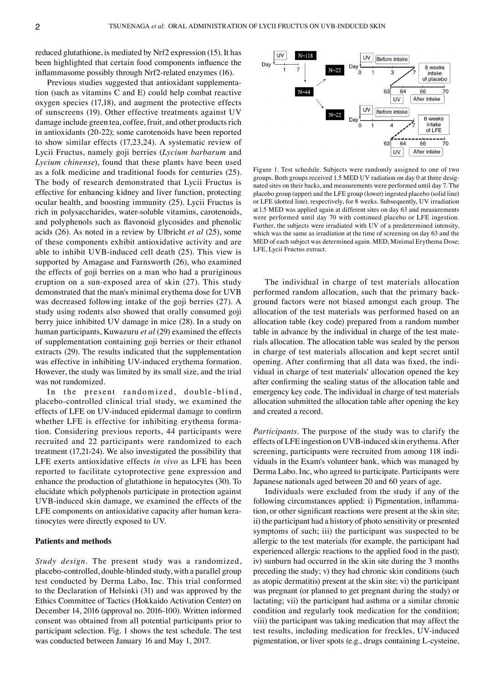reduced glutathione, is mediated by Nrf2 expression (15). It has been highlighted that certain food components influence the inflammasome possibly through Nrf2‑related enzymes (16).

Previous studies suggested that antioxidant supplementation (such as vitamins C and E) could help combat reactive oxygen species (17,18), and augment the protective effects of sunscreens (19). Other effective treatments against UV damage include green tea, coffee, fruit, and other products rich in antioxidants (20‑22); some carotenoids have been reported to show similar effects (17,23,24). A systematic review of Lycii Fructus, namely goji berries (*Lycium barbarum* and *Lycium chinense*), found that these plants have been used as a folk medicine and traditional foods for centuries (25). The body of research demonstrated that Lycii Fructus is effective for enhancing kidney and liver function, protecting ocular health, and boosting immunity (25). Lycii Fructus is rich in polysaccharides, water‑soluble vitamins, carotenoids, and polyphenols such as flavonoid glycosides and phenolic acids (26). As noted in a review by Ulbricht *et al* (25), some of these components exhibit antioxidative activity and are able to inhibit UVB‑induced cell death (25). This view is supported by Amagase and Farnsworth (26), who examined the effects of goji berries on a man who had a pruriginous eruption on a sun‑exposed area of skin (27). This study demonstrated that the man's minimal erythema dose for UVB was decreased following intake of the goji berries (27). A study using rodents also showed that orally consumed goji berry juice inhibited UV damage in mice (28). In a study on human participants, Kuwazuru *et al* (29) examined the effects of supplementation containing goji berries or their ethanol extracts (29). The results indicated that the supplementation was effective in inhibiting UV-induced erythema formation. However, the study was limited by its small size, and the trial was not randomized.

In the present randomized, double-blind, placebo‑controlled clinical trial study, we examined the effects of LFE on UV‑induced epidermal damage to confirm whether LFE is effective for inhibiting erythema formation. Considering previous reports, 44 participants were recruited and 22 participants were randomized to each treatment (17,21‑24). We also investigated the possibility that LFE exerts antioxidative effects *in vivo* as LFE has been reported to facilitate cytoprotective gene expression and enhance the production of glutathione in hepatocytes (30). To elucidate which polyphenols participate in protection against UVB‑induced skin damage, we examined the effects of the LFE components on antioxidative capacity after human keratinocytes were directly exposed to UV.

#### **Patients and methods**

*Study design.* The present study was a randomized, placebo‑controlled, double‑blinded study, with a parallel group test conducted by Derma Labo, Inc. This trial conformed to the Declaration of Helsinki (31) and was approved by the Ethics Committee of Tactics (Hokkaido Activation Center) on December 14, 2016 (approval no. 2016‑100). Written informed consent was obtained from all potential participants prior to participant selection. Fig. 1 shows the test schedule. The test was conducted between January 16 and May 1, 2017.



Figure 1. Test schedule. Subjects were randomly assigned to one of two groups. Both groups received 1.5 MED UV radiation on day 0 at three designated sites on their backs, and measurements were performed until day 7. The placebo group (upper) and the LFE group (lower) ingested placebo (solid line) or LFE (dotted line), respectively, for 8 weeks. Subsequently, UV irradiation at l.5 MED was applied again at different sites on day 63 and measurements were performed until day 70 with continued placebo or LFE ingestion. Further, the subjects were irradiated with UV of a predetermined intensity, which was the same as irradiation at the time of screening on day 63 and the MED of each subject was determined again. MED, Minimal Erythema Dose; LFE, Lycii Fructus extract.

The individual in charge of test materials allocation performed random allocation, such that the primary background factors were not biased amongst each group. The allocation of the test materials was performed based on an allocation table (key code) prepared from a random number table in advance by the individual in charge of the test materials allocation. The allocation table was sealed by the person in charge of test materials allocation and kept secret until opening. After confirming that all data was fixed, the individual in charge of test materials' allocation opened the key after confirming the sealing status of the allocation table and emergency key code. The individual in charge of test materials allocation submitted the allocation table after opening the key and created a record.

*Participants.* The purpose of the study was to clarify the effects of LFE ingestion on UVB‑induced skin erythema. After screening, participants were recruited from among 118 individuals in the Exam's volunteer bank, which was managed by Derma Labo. Inc, who agreed to participate. Participants were Japanese nationals aged between 20 and 60 years of age.

Individuals were excluded from the study if any of the following circumstances applied: i) Pigmentation, inflammation, or other significant reactions were present at the skin site; ii) the participant had a history of photo sensitivity or presented symptoms of such; iii) the participant was suspected to be allergic to the test materials (for example, the participant had experienced allergic reactions to the applied food in the past); iv) sunburn had occurred in the skin site during the 3 months preceding the study; v) they had chronic skin conditions (such as atopic dermatitis) present at the skin site; vi) the participant was pregnant (or planned to get pregnant during the study) or lactating; vii) the participant had asthma or a similar chronic condition and regularly took medication for the condition; viii) the participant was taking medication that may affect the test results, including medication for freckles, UV‑induced pigmentation, or liver spots (e.g., drugs containing L‑cysteine,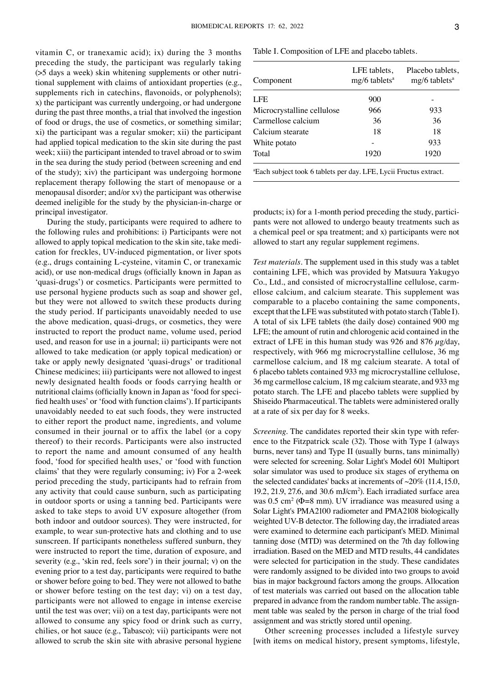vitamin C, or tranexamic acid); ix) during the 3 months preceding the study, the participant was regularly taking (>5 days a week) skin whitening supplements or other nutritional supplement with claims of antioxidant properties (e.g., supplements rich in catechins, flavonoids, or polyphenols); x) the participant was currently undergoing, or had undergone during the past three months, a trial that involved the ingestion of food or drugs, the use of cosmetics, or something similar; xi) the participant was a regular smoker; xii) the participant had applied topical medication to the skin site during the past week; xiii) the participant intended to travel abroad or to swim in the sea during the study period (between screening and end of the study); xiv) the participant was undergoing hormone replacement therapy following the start of menopause or a menopausal disorder; and/or xv) the participant was otherwise deemed ineligible for the study by the physician-in-charge or principal investigator.

During the study, participants were required to adhere to the following rules and prohibitions: i) Participants were not allowed to apply topical medication to the skin site, take medication for freckles, UV‑induced pigmentation, or liver spots (e.g., drugs containing L‑cysteine, vitamin C, or tranexamic acid), or use non‑medical drugs (officially known in Japan as ʻquasi‑drugs') or cosmetics. Participants were permitted to use personal hygiene products such as soap and shower gel, but they were not allowed to switch these products during the study period. If participants unavoidably needed to use the above medication, quasi-drugs, or cosmetics, they were instructed to report the product name, volume used, period used, and reason for use in a journal; ii) participants were not allowed to take medication (or apply topical medication) or take or apply newly designated ʻquasi‑drugs' or traditional Chinese medicines; iii) participants were not allowed to ingest newly designated health foods or foods carrying health or nutritional claims (officially known in Japan as 'food for specified health uses' or ʻfood with function claims'). If participants unavoidably needed to eat such foods, they were instructed to either report the product name, ingredients, and volume consumed in their journal or to affix the label (or a copy thereof) to their records. Participants were also instructed to report the name and amount consumed of any health food, ʻfood for specified health uses,' or ʻfood with function claims' that they were regularly consuming; iv) For a 2‑week period preceding the study, participants had to refrain from any activity that could cause sunburn, such as participating in outdoor sports or using a tanning bed. Participants were asked to take steps to avoid UV exposure altogether (from both indoor and outdoor sources). They were instructed, for example, to wear sun-protective hats and clothing and to use sunscreen. If participants nonetheless suffered sunburn, they were instructed to report the time, duration of exposure, and severity (e.g., ʻskin red, feels sore') in their journal; v) on the evening prior to a test day, participants were required to bathe or shower before going to bed. They were not allowed to bathe or shower before testing on the test day; vi) on a test day, participants were not allowed to engage in intense exercise until the test was over; vii) on a test day, participants were not allowed to consume any spicy food or drink such as curry, chilies, or hot sauce (e.g., Tabasco); vii) participants were not allowed to scrub the skin site with abrasive personal hygiene Table I. Composition of LFE and placebo tablets.

| Component                                                                     | LFE tablets,<br>$mg/6$ tablets <sup>a</sup> | Placebo tablets,<br>$mg/6$ tablets <sup>a</sup> |
|-------------------------------------------------------------------------------|---------------------------------------------|-------------------------------------------------|
| LFE                                                                           | 900                                         |                                                 |
| Microcrystalline cellulose                                                    | 966                                         | 933                                             |
| Carmellose calcium                                                            | 36                                          | 36                                              |
| Calcium stearate                                                              | 18                                          | 18                                              |
| White potato                                                                  |                                             | 933                                             |
| Total                                                                         | 1920                                        | 1920                                            |
| <sup>a</sup> Each subject took 6 tablets per day. LFE, Lycii Fructus extract. |                                             |                                                 |

products; ix) for a 1-month period preceding the study, participants were not allowed to undergo beauty treatments such as a chemical peel or spa treatment; and x) participants were not allowed to start any regular supplement regimens.

*Test materials.* The supplement used in this study was a tablet containing LFE, which was provided by Matsuura Yakugyo Co., Ltd., and consisted of microcrystalline cellulose, carmellose calcium, and calcium stearate. This supplement was comparable to a placebo containing the same components, except that the LFE was substituted with potato starch (Table I). A total of six LFE tablets (the daily dose) contained 900 mg LFE; the amount of rutin and chlorogenic acid contained in the extract of LFE in this human study was 926 and 876  $\mu$ g/day, respectively, with 966 mg microcrystalline cellulose, 36 mg carmellose calcium, and 18 mg calcium stearate. A total of 6 placebo tablets contained 933 mg microcrystalline cellulose, 36 mg carmellose calcium, 18 mg calcium stearate, and 933 mg potato starch. The LFE and placebo tablets were supplied by Shiseido Pharmaceutical. The tablets were administered orally at a rate of six per day for 8 weeks.

*Screening*. The candidates reported their skin type with reference to the Fitzpatrick scale (32). Those with Type I (always burns, never tans) and Type II (usually burns, tans minimally) were selected for screening. Solar Light's Model 601 Multiport solar simulator was used to produce six stages of erythema on the selected candidates' backs at increments of  $\sim$ 20% (11.4, 15.0, 19.2, 21.9, 27.6, and 30.6 mJ/cm<sup>2</sup> ). Each irradiated surface area was  $0.5 \text{ cm}^2$  ( $\Phi$ =8 mm). UV irradiance was measured using a Solar Light's PMA2100 radiometer and PMA2108 biologically weighted UV‑B detector. The following day, the irradiated areas were examined to determine each participant's MED. Minimal tanning dose (MTD) was determined on the 7th day following irradiation. Based on the MED and MTD results, 44 candidates were selected for participation in the study. These candidates were randomly assigned to be divided into two groups to avoid bias in major background factors among the groups. Allocation of test materials was carried out based on the allocation table prepared in advance from the random number table. The assignment table was sealed by the person in charge of the trial food assignment and was strictly stored until opening.

Other screening processes included a lifestyle survey [with items on medical history, present symptoms, lifestyle,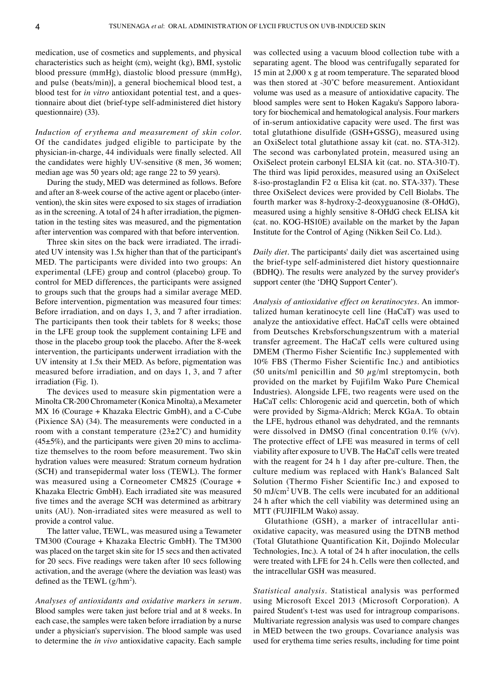medication, use of cosmetics and supplements, and physical characteristics such as height (cm), weight (kg), BMI, systolic blood pressure (mmHg), diastolic blood pressure (mmHg), and pulse (beats/min)], a general biochemical blood test, a blood test for *in vitro* antioxidant potential test, and a questionnaire about diet (brief-type self-administered diet history questionnaire) (33).

*Induction of erythema and measurement of skin color.*  Of the candidates judged eligible to participate by the physician-in-charge, 44 individuals were finally selected. All the candidates were highly UV-sensitive (8 men, 36 women; median age was 50 years old; age range 22 to 59 years).

During the study, MED was determined as follows. Before and after an 8-week course of the active agent or placebo (intervention), the skin sites were exposed to six stages of irradiation as in the screening. A total of 24 h after irradiation, the pigmentation in the testing sites was measured, and the pigmentation after intervention was compared with that before intervention.

Three skin sites on the back were irradiated. The irradiated UV intensity was 1.5x higher than that of the participant's MED. The participants were divided into two groups: An experimental (LFE) group and control (placebo) group. To control for MED differences, the participants were assigned to groups such that the groups had a similar average MED. Before intervention, pigmentation was measured four times: Before irradiation, and on days 1, 3, and 7 after irradiation. The participants then took their tablets for 8 weeks; those in the LFE group took the supplement containing LFE and those in the placebo group took the placebo. After the 8‑week intervention, the participants underwent irradiation with the UV intensity at 1.5x their MED. As before, pigmentation was measured before irradiation, and on days 1, 3, and 7 after irradiation (Fig. 1).

The devices used to measure skin pigmentation were a Minolta CR‑200 Chromameter (Konica Minolta), a Mexameter MX 16 (Courage + Khazaka Electric GmbH), and a C-Cube (Pixience SA) (34). The measurements were conducted in a room with a constant temperature  $(23\pm2^{\circ}C)$  and humidity  $(45±5%)$ , and the participants were given 20 mins to acclimatize themselves to the room before measurement. Two skin hydration values were measured: Stratum corneum hydration (SCH) and transepidermal water loss (TEWL). The former was measured using a Corneometer CM825 (Courage + Khazaka Electric GmbH). Each irradiated site was measured five times and the average SCH was determined as arbitrary units (AU). Non‑irradiated sites were measured as well to provide a control value.

The latter value, TEWL, was measured using a Tewameter TM300 (Courage + Khazaka Electric GmbH). The TM300 was placed on the target skin site for 15 secs and then activated for 20 secs. Five readings were taken after 10 secs following activation, and the average (where the deviation was least) was defined as the TEWL  $(g/hm^2)$ .

*Analyses of antioxidants and oxidative markers in serum.*  Blood samples were taken just before trial and at 8 weeks. In each case, the samples were taken before irradiation by a nurse under a physician's supervision. The blood sample was used to determine the *in vivo* antioxidative capacity. Each sample

was collected using a vacuum blood collection tube with a separating agent. The blood was centrifugally separated for 15 min at 2,000 x g at room temperature. The separated blood was then stored at -30°C before measurement. Antioxidant volume was used as a measure of antioxidative capacity. The blood samples were sent to Hoken Kagaku's Sapporo laboratory for biochemical and hematological analysis. Four markers of in‑serum antioxidative capacity were used. The first was total glutathione disulfide (GSH+GSSG), measured using an OxiSelect total glutathione assay kit (cat. no. STA‑312). The second was carbonylated protein, measured using an OxiSelect protein carbonyl ELSIA kit (cat. no. STA‑310‑T). The third was lipid peroxides, measured using an OxiSelect 8‑iso‑prostaglandin F2 α Elisa kit (cat. no. STA‑337). These three OxiSelect devices were provided by Cell Biolabs. The fourth marker was 8‑hydroxy‑2‑deoxyguanosine (8‑OHdG), measured using a highly sensitive 8‑OHdG check ELISA kit (cat. no. KOG‑HS10E) available on the market by the Japan Institute for the Control of Aging (Nikken Seil Co. Ltd.).

*Daily diet.* The participants' daily diet was ascertained using the brief‑type self‑administered diet history questionnaire (BDHQ). The results were analyzed by the survey provider's support center (the ʻDHQ Support Center').

*Analysis of antioxidative effect on keratinocytes. An immor*talized human keratinocyte cell line (HaCaT) was used to analyze the antioxidative effect. HaCaT cells were obtained from Deutsches Krebsforschungszentrum with a material transfer agreement. The HaCaT cells were cultured using DMEM (Thermo Fisher Scientific Inc.) supplemented with 10% FBS (Thermo Fisher Scientific Inc.) and antibiotics (50 units/ml penicillin and 50  $\mu$ g/ml streptomycin, both provided on the market by Fujifilm Wako Pure Chemical Industries). Alongside LFE, two reagents were used on the HaCaT cells: Chlorogenic acid and quercetin, both of which were provided by Sigma‑Aldrich; Merck KGaA. To obtain the LFE, hydrous ethanol was dehydrated, and the remnants were dissolved in DMSO (final concentration 0.1% (v/v). The protective effect of LFE was measured in terms of cell viability after exposure to UVB. The HaCaT cells were treated with the reagent for 24 h 1 day after pre-culture. Then, the culture medium was replaced with Hank's Balanced Salt Solution (Thermo Fisher Scientific Inc.) and exposed to 50 mJ/cm<sup>2</sup>UVB. The cells were incubated for an additional 24 h after which the cell viability was determined using an MTT (FUJIFILM Wako) assay.

Glutathione (GSH), a marker of intracellular antioxidative capacity, was measured using the DTNB method (Total Glutathione Quantification Kit, Dojindo Molecular Technologies, Inc.). A total of 24 h after inoculation, the cells were treated with LFE for 24 h. Cells were then collected, and the intracellular GSH was measured.

*Statistical analysis.* Statistical analysis was performed using Microsoft Excel 2013 (Microsoft Corporation). A paired Student's t-test was used for intragroup comparisons. Multivariate regression analysis was used to compare changes in MED between the two groups. Covariance analysis was used for erythema time series results, including for time point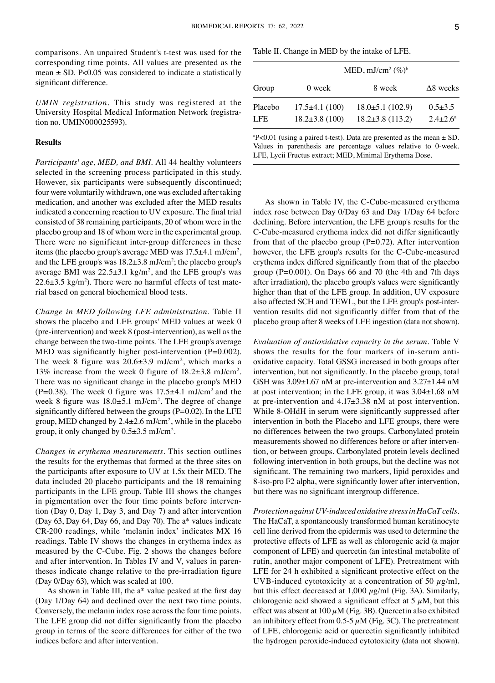comparisons. An unpaired Student's t-test was used for the corresponding time points. All values are presented as the mean  $\pm$  SD. P<0.05 was considered to indicate a statistically significant difference.

*UMIN registration.* This study was registered at the University Hospital Medical Information Network (registration no. UMIN000025593).

## **Results**

*Participants' age, MED, and BMI.* All 44 healthy volunteers selected in the screening process participated in this study. However, six participants were subsequently discontinued; four were voluntarily withdrawn, one was excluded after taking medication, and another was excluded after the MED results indicated a concerning reaction to UV exposure. The final trial consisted of 38 remaining participants, 20 of whom were in the placebo group and 18 of whom were in the experimental group. There were no significant inter-group differences in these items (the placebo group's average MED was  $17.5\pm4.1$  mJ/cm<sup>2</sup>, and the LFE group's was  $18.2 \pm 3.8$  mJ/cm<sup>2</sup>; the placebo group's average BMI was  $22.5 \pm 3.1 \text{ kg/m}^2$ , and the LFE group's was  $22.6\pm3.5$  kg/m<sup>2</sup>). There were no harmful effects of test material based on general biochemical blood tests.

*Change in MED following LFE administration.* Table II shows the placebo and LFE groups' MED values at week 0 (pre‑intervention) and week 8 (post‑intervention), as well as the change between the two-time points. The LFE group's average MED was significantly higher post-intervention (P=0.002). The week 8 figure was  $20.6 \pm 3.9$  mJ/cm<sup>2</sup>, which marks a 13% increase from the week 0 figure of 18.2±3.8 mJ/cm<sup>2</sup> . There was no significant change in the placebo group's MED (P=0.38). The week 0 figure was  $17.5\pm4.1$  mJ/cm<sup>2</sup> and the week 8 figure was  $18.0 \pm 5.1$  mJ/cm<sup>2</sup>. The degree of change significantly differed between the groups  $(P=0.02)$ . In the LFE group, MED changed by  $2.4 \pm 2.6$  mJ/cm<sup>2</sup>, while in the placebo group, it only changed by  $0.5\pm3.5$  mJ/cm<sup>2</sup>.

*Changes in erythema measurements.* This section outlines the results for the erythemas that formed at the three sites on the participants after exposure to UV at 1.5x their MED. The data included 20 placebo participants and the 18 remaining participants in the LFE group. Table III shows the changes in pigmentation over the four time points before intervention (Day 0, Day 1, Day 3, and Day 7) and after intervention (Day 63, Day 64, Day 66, and Day 70). The a\* values indicate CR‑200 readings, while ʻmelanin index' indicates MX 16 readings. Table IV shows the changes in erythema index as measured by the C‑Cube. Fig. 2 shows the changes before and after intervention. In Tables IV and V, values in parentheses indicate change relative to the pre‑irradiation figure (Day 0/Day 63), which was scaled at 100.

As shown in Table III, the a\* value peaked at the first day (Day 1/Day 64) and declined over the next two time points. Conversely, the melanin index rose across the four time points. The LFE group did not differ significantly from the placebo group in terms of the score differences for either of the two indices before and after intervention.

Table II. Change in MED by the intake of LFE.

|            |                      | MED, mJ/cm <sup>2</sup> $(\%)^b$ |                     |
|------------|----------------------|----------------------------------|---------------------|
| Group      | 0 week               | 8 week                           | $\Delta$ 8 weeks    |
| Placebo    | $17.5\pm4.1(100)$    | $18.0 \pm 5.1$ (102.9)           | $0.5 \pm 3.5$       |
| <b>LFE</b> | $18.2 \pm 3.8$ (100) | $18.2 \pm 3.8$ (113.2)           | $2.4 + 2.6^{\circ}$ |

 $P < 0.01$  (using a paired t-test). Data are presented as the mean  $\pm$  SD. Values in parenthesis are percentage values relative to 0‑week. LFE, Lycii Fructus extract; MED, Minimal Erythema Dose.

As shown in Table IV, the C-Cube-measured erythema index rose between Day 0/Day 63 and Day 1/Day 64 before declining. Before intervention, the LFE group's results for the C‑Cube‑measured erythema index did not differ significantly from that of the placebo group  $(P=0.72)$ . After intervention however, the LFE group's results for the C-Cube-measured erythema index differed significantly from that of the placebo group (P=0.001). On Days 66 and 70 (the 4th and 7th days after irradiation), the placebo group's values were significantly higher than that of the LFE group. In addition, UV exposure also affected SCH and TEWL, but the LFE group's post-intervention results did not significantly differ from that of the placebo group after 8 weeks of LFE ingestion (data not shown).

*Evaluation of antioxidative capacity in the serum.* Table V shows the results for the four markers of in-serum antioxidative capacity. Total GSSG increased in both groups after intervention, but not significantly. In the placebo group, total GSH was 3.09±1.67 nM at pre‑intervention and 3.27±1.44 nM at post intervention; in the LFE group, it was 3.04±1.68 nM at pre‑intervention and 4.17±3.38 nM at post intervention. While 8-OHdH in serum were significantly suppressed after intervention in both the Placebo and LFE groups, there were no differences between the two groups. Carbonylated protein measurements showed no differences before or after intervention, or between groups. Carbonylated protein levels declined following intervention in both groups, but the decline was not significant. The remaining two markers, lipid peroxides and 8‑iso‑pro F2 alpha, were significantly lower after intervention, but there was no significant intergroup difference.

*Protection against UV‑induced oxidative stress in HaCaT cells.*  The HaCaT, a spontaneously transformed human keratinocyte cell line derived from the epidermis was used to determine the protective effects of LFE as well as chlorogenic acid (a major component of LFE) and quercetin (an intestinal metabolite of rutin, another major component of LFE). Pretreatment with LFE for 24 h exhibited a significant protective effect on the UVB-induced cytotoxicity at a concentration of 50  $\mu$ g/ml, but this effect decreased at  $1,000 \mu g/ml$  (Fig. 3A). Similarly, chlorogenic acid showed a significant effect at  $5 \mu$ M, but this effect was absent at  $100 \mu$ M (Fig. 3B). Quercetin also exhibited an inhibitory effect from 0.5-5  $\mu$ M (Fig. 3C). The pretreatment of LFE, chlorogenic acid or quercetin significantly inhibited the hydrogen peroxide‑induced cytotoxicity (data not shown).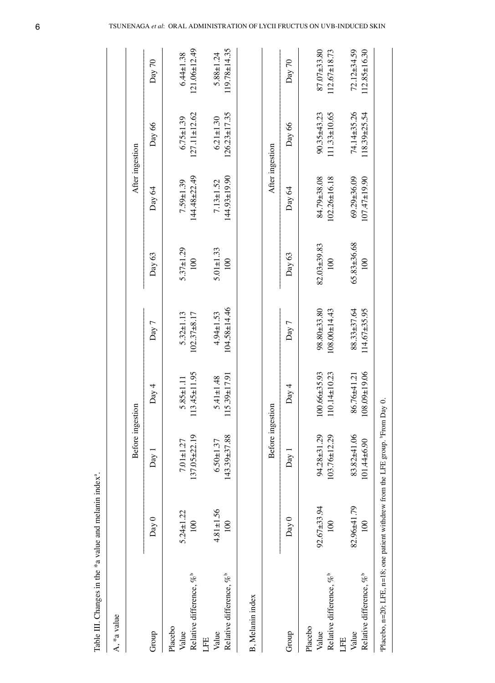| A, *a value                                                                     |                                 |                                   |                                          |                                     |                         |                                         |                                       |                                         |
|---------------------------------------------------------------------------------|---------------------------------|-----------------------------------|------------------------------------------|-------------------------------------|-------------------------|-----------------------------------------|---------------------------------------|-----------------------------------------|
|                                                                                 |                                 | Before ingestion                  |                                          |                                     |                         | After ingestion                         |                                       |                                         |
| Group                                                                           | Day 0                           | Day 1                             | Day 4                                    | Day 7                               | Day 63                  | Day 64                                  | Day 66                                | Day 70                                  |
| Relative difference, % <sup>b</sup><br>Placebo<br>Value                         | $5.24 \pm 1.22$<br>100          | $137.05 + 22.19$<br>$7.01 + 1.27$ | $113.45 \pm 11.95$<br>$5.85 \pm 1.11$    | $5.32 \pm 1.13$<br>$102.37 + 8.17$  | $5.37 + 1.29$<br>100    | $144.48 + 22.49$<br>$7.59 \pm 1.39$     | $127.11 \pm 12.62$<br>$6.75 \pm 1.39$ | $121.06 \pm 12.49$<br>$6.44 \pm 1.38$   |
| Relative difference, % <sup>b</sup><br>Value<br>LFE                             | $4.81 \pm 1.56$<br>100          | $143.39 + 37.88$<br>$6.50 + 1.37$ | $115.39 \pm 17.91$<br>$5.41 \pm 1.48$    | $104.58 + 14.46$<br>$4.94 \pm 1.53$ | $5.01 \pm 1.33$<br>100  | $144.93 \pm 19.90$<br>$7.13 \pm 1.52$   | $126.23 \pm 17.35$<br>$6.21 \pm 1.30$ | $119.78 \pm 14.35$<br>$5.88 \pm 1.24$   |
| B, Melanin index                                                                |                                 |                                   |                                          |                                     |                         |                                         |                                       |                                         |
|                                                                                 |                                 | Before ingestion                  |                                          |                                     |                         | After ingestion                         |                                       |                                         |
| Group                                                                           | Day 0                           | Day 1                             | Day 4                                    | Day 7                               | Day 63                  | Day 64                                  | Day 66                                | Day 70                                  |
| Relative difference, % <sup>b</sup><br>Placebo<br>Value<br>LFE                  | $92.67 + 33.94$<br>100          | 94.28±31.29<br>$103.76 \pm 12.29$ | $100.66 \pm 35.93$<br>$110.14 \pm 10.23$ | 98.80±33.80<br>$108.00 \pm 14.43$   | 82.03±39.83<br>100      | 84.79±38.08<br>102.26±16.18             | $111.33 \pm 10.65$<br>$90.35 + 43.23$ | 87.07±33.80<br>$112.67 \pm 18.73$       |
| Relative difference, % <sup>b</sup><br>Value                                    | 82.96±41.79<br>$\overline{100}$ | 83.82±41.06<br>$101.44\pm 6.90$   | $0.01 + 0.08$<br>86.76±41.21             | $114.67\pm35.95$<br>88.33±37.64     | 65.83±36.68<br>$^{100}$ | $69.29 \pm 36.09$<br>$107.47 \pm 19.90$ | 74.14±35.26<br>$118.39 + 25.54$       | $72.12 \pm 34.59$<br>$112.85 \pm 16.30$ |
| aPlacebo, n=20; LFE, n=18; one patient withdrew from the LFE group. Prom Day 0. |                                 |                                   |                                          |                                     |                         |                                         |                                       |                                         |

6 TSUNENAGA *et al*: ORAL ADMINISTRATION OF LYCII FRUCTUS ON UVB-INDUCED SKIN

Table III. Changes in the  $*$ a value and melanin index $*$ 

.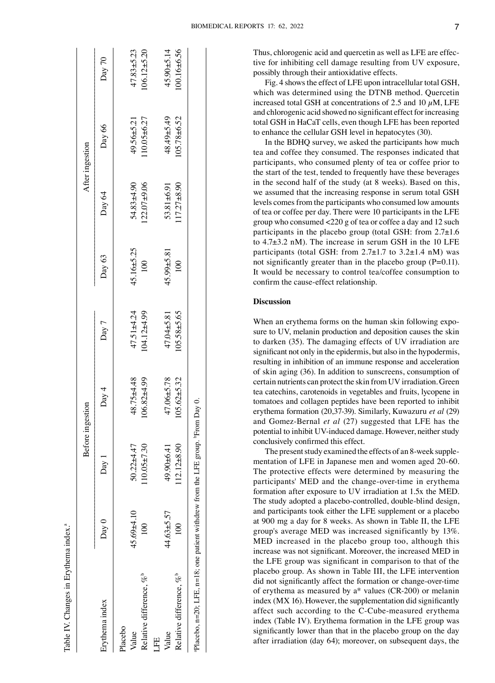| $\frac{1}{2}$                                                                             |
|-------------------------------------------------------------------------------------------|
| ֧֪֪֪֪֦֧֦֦֧֧֧֦֧ׅ֧֦֧֦֧֦֧֦֧ׅ֧֦֧֝֝֝֝֝֝֬֝֓֝֓֜֓֝֬֜֓֜<br>֧֪֧֧֧֧֪֧֪֪֪֪֦֧֦֧֪֪֪֪֪֪֪֪֪֪֪֪֪֪֛֝֬֝֓֝֬֝֬ |
|                                                                                           |
| $\frac{1}{2}$                                                                             |
| ההיה הים                                                                                  |
| į                                                                                         |
|                                                                                           |
| j                                                                                         |

 $\sigma$ 

|                                                                                |                  |                   | Before ingestion |                 |                  |                 | After ingestion |                 |
|--------------------------------------------------------------------------------|------------------|-------------------|------------------|-----------------|------------------|-----------------|-----------------|-----------------|
| Erythema index                                                                 | Day 0            | Day 1             | Day 4            | Day 7           | Day 63           | Day 64          | Day 66          | Day 70          |
| Placebo                                                                        |                  |                   |                  |                 |                  |                 |                 |                 |
| Value                                                                          | $45.69 + 4.10$   | 50.22±4.47        | 48.75±4.48       | $47.51 + 4.24$  | $45.16 + 5.25$   | 54.83±4.90      | $49.56 + 5.21$  | $47.83 + 5.23$  |
| Relative difference, % <sup>b</sup>                                            | $\overline{100}$ | $10.05 + 7.30$    | $106.82 + 4.99$  | $104.12 + 4.99$ | 100              | $122.07+9.06$   | $10.05 + 6.27$  | $106.12 + 5.20$ |
| LEE                                                                            |                  |                   |                  |                 |                  |                 |                 |                 |
| Value                                                                          | 44.63±5.57       | 49.90±6.41        | 47.06±5.78       | 47.04±5.81      | $45.99 \pm 5.81$ | 53.81±6.91      | 48.49±5.49      | $45.90 + 5.14$  |
| Relative difference, % <sup>p</sup>                                            | $\frac{1}{2}$    | $112.12 \pm 8.90$ | $05.62 + 5.32$   | $105.58 + 5.65$ | 100 <sub>1</sub> | $117.27\pm8.90$ | $105.78 + 6.52$ | $00.16 + 6.56$  |
| Placebo, n=20; LFE, n=18; one patient withdrew from the LFE group. Prom Day 0. |                  |                   |                  |                 |                  |                 |                 |                 |

Fig. 4 shows the effect of LFE upon intracellular total GSH, which was determined using the DTNB method. Quercetin increased total GSH at concentrations of 2.5 and 10  $\mu$ M, LFE and chlorogenic acid showed no significant effect for increasing total GSH in HaCaT cells, even though LFE has been reported to enhance the cellular GSH level in hepatocytes (30).

In the BDHQ survey, we asked the participants how much tea and coffee they consumed. The responses indicated that participants, who consumed plenty of tea or coffee prior to the start of the test, tended to frequently have these beverages in the second half of the study (at 8 weeks). Based on this, we assumed that the increasing response in serum total GSH levels comes from the participants who consumed low amounts of tea or coffee per day. There were 10 participants in the LFE group who consumed <220 g of tea or coffee a day and 12 such participants in the placebo group (total GSH: from 2.7±1.6 to 4.7±3.2 nM). The increase in serum GSH in the 10 LFE participants (total GSH: from  $2.7\pm1.7$  to  $3.2\pm1.4$  nM) was not significantly greater than in the placebo group (P=0.11). It would be necessary to control tea/coffee consumption to confirm the cause‑effect relationship.

## **Discussion**

When an erythema forms on the human skin following exposure to UV, melanin production and deposition causes the skin to darken (35). The damaging effects of UV irradiation are significant not only in the epidermis, but also in the hypodermis, resulting in inhibition of an immune response and acceleration of skin aging (36). In addition to sunscreens, consumption of certain nutrients can protect the skin from UV irradiation. Green tea catechins, carotenoids in vegetables and fruits, lycopene in tomatoes and collagen peptides have been reported to inhibit erythema formation (20,37‑39). Similarly, Kuwazuru *et al* (29) and Gomez‑Bernal *et al* (27) suggested that LFE has the potential to inhibit UV‑induced damage. However, neither study conclusively confirmed this effect.

The present study examined the effects of an 8-week supplementation of LFE in Japanese men and women aged 20‑60. The protective effects were determined by measuring the participants' MED and the change-over-time in erythema formation after exposure to UV irradiation at 1.5x the MED. The study adopted a placebo-controlled, double-blind design, and participants took either the LFE supplement or a placebo at 900 mg a day for 8 weeks. As shown in Table II, the LFE group's average MED was increased significantly by 13%. MED increased in the placebo group too, although this increase was not significant. Moreover, the increased MED in the LFE group was significant in comparison to that of the placebo group. As shown in Table III, the LFE intervention did not significantly affect the formation or change-over-time of erythema as measured by a\* values (CR‑200) or melanin index (MX 16). However, the supplementation did significantly affect such according to the C‑Cube‑measured erythema index (Table IV). Erythema formation in the LFE group was significantly lower than that in the placebo group on the day after irradiation (day 64); moreover, on subsequent days, the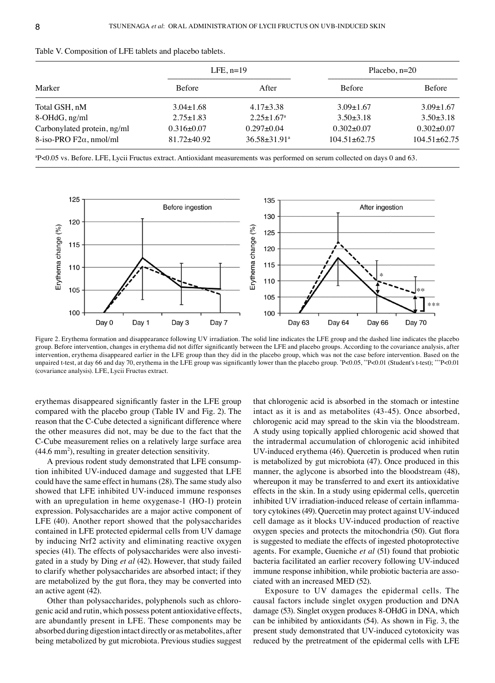|                                                               |                                     | $LFE$ , n=19                                       | Placebo, $n=20$                        |                                        |
|---------------------------------------------------------------|-------------------------------------|----------------------------------------------------|----------------------------------------|----------------------------------------|
| Marker                                                        | <b>Before</b>                       | After                                              | <b>Before</b>                          | <b>Before</b>                          |
| Total GSH, nM                                                 | $3.04\pm1.68$                       | $4.17\pm3.38$                                      | $3.09 \pm 1.67$                        | $3.09 \pm 1.67$                        |
| 8-OHdG, ng/ml                                                 | $2.75 \pm 1.83$                     | $2.25 \pm 1.67$ <sup>a</sup>                       | $3.50\pm3.18$                          | $3.50 \pm 3.18$                        |
| Carbonylated protein, ng/ml<br>8-iso-PRO $F2\alpha$ , nmol/ml | $0.316\pm0.07$<br>$81.72 \pm 40.92$ | $0.297 \pm 0.04$<br>$36.58 \pm 31.91$ <sup>a</sup> | $0.302 \pm 0.07$<br>$104.51 \pm 62.75$ | $0.302 \pm 0.07$<br>$104.51 \pm 62.75$ |

| Table V. Composition of LFE tablets and placebo tablets. |  |  |
|----------------------------------------------------------|--|--|
|----------------------------------------------------------|--|--|

a P<0.05 vs. Before. LFE, Lycii Fructus extract. Antioxidant measurements was performed on serum collected on days 0 and 63.



Figure 2. Erythema formation and disappearance following UV irradiation. The solid line indicates the LFE group and the dashed line indicates the placebo group. Before intervention, changes in erythema did not differ significantly between the LFE and placebo groups. According to the covariance analysis, after intervention, erythema disappeared earlier in the LFE group than they did in the placebo group, which was not the case before intervention. Based on the unpaired t-test, at day 66 and day 70, erythema in the LFE group was significantly lower than the placebo group. \*P<0.05, \*\*P<0.01 (Student's t-test); \*\*\*P<0.01 (covariance analysis). LFE, Lycii Fructus extract.

erythemas disappeared significantly faster in the LFE group compared with the placebo group (Table IV and Fig. 2). The reason that the C‑Cube detected a significant difference where the other measures did not, may be due to the fact that the C‑Cube measurement relies on a relatively large surface area (44.6 mm<sup>2</sup>), resulting in greater detection sensitivity.

A previous rodent study demonstrated that LFE consumption inhibited UV‑induced damage and suggested that LFE could have the same effect in humans(28). The same study also showed that LFE inhibited UV‑induced immune responses with an upregulation in heme oxygenase-1 (HO-1) protein expression. Polysaccharides are a major active component of LFE (40). Another report showed that the polysaccharides contained in LFE protected epidermal cells from UV damage by inducing Nrf2 activity and eliminating reactive oxygen species (41). The effects of polysaccharides were also investigated in a study by Ding *et al* (42). However, that study failed to clarify whether polysaccharides are absorbed intact; if they are metabolized by the gut flora, they may be converted into an active agent (42).

Other than polysaccharides, polyphenols such as chlorogenic acid and rutin, which possess potent antioxidative effects, are abundantly present in LFE. These components may be absorbed during digestion intact directly or as metabolites, after being metabolized by gut microbiota. Previous studies suggest that chlorogenic acid is absorbed in the stomach or intestine intact as it is and as metabolites (43‑45). Once absorbed, chlorogenic acid may spread to the skin via the bloodstream. A study using topically applied chlorogenic acid showed that the intradermal accumulation of chlorogenic acid inhibited UV‑induced erythema (46). Quercetin is produced when rutin is metabolized by gut microbiota (47). Once produced in this manner, the aglycone is absorbed into the bloodstream (48), whereupon it may be transferred to and exert its antioxidative effects in the skin. In a study using epidermal cells, quercetin inhibited UV irradiation-induced release of certain inflammatory cytokines(49). Quercetin may protect against UV‑induced cell damage as it blocks UV‑induced production of reactive oxygen species and protects the mitochondria (50). Gut flora is suggested to mediate the effects of ingested photoprotective agents. For example, Gueniche *et al* (51) found that probiotic bacteria facilitated an earlier recovery following UV‑induced immune response inhibition, while probiotic bacteria are associated with an increased MED (52).

Exposure to UV damages the epidermal cells. The causal factors include singlet oxygen production and DNA damage (53). Singlet oxygen produces 8‑OHdG in DNA, which can be inhibited by antioxidants (54). As shown in Fig. 3, the present study demonstrated that UV‑induced cytotoxicity was reduced by the pretreatment of the epidermal cells with LFE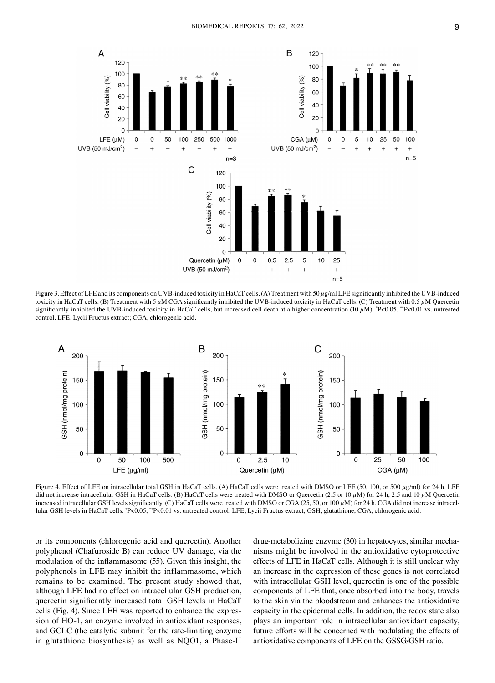

Figure 3. Effect of LFE and its components on UVB-induced toxicity in HaCaT cells. (A) Treatment with 50  $\mu$ g/ml LFE significantly inhibited the UVB-induced toxicity in HaCaT cells. (B) Treatment with 5  $\mu$ M CGA significantly inhibited the UVB-induced toxicity in HaCaT cells. (C) Treatment with 0.5  $\mu$ M Quercetin significantly inhibited the UVB-induced toxicity in HaCaT cells, but increased cell death at a higher concentration  $(10 \,\mu\text{M})$ .  $\text{°P} < 0.05$ ,  $\text{°P} < 0.01$  vs. untreated control. LFE, Lycii Fructus extract; CGA, chlorogenic acid.



Figure 4. Effect of LFE on intracellular total GSH in HaCaT cells. (A) HaCaT cells were treated with DMSO or LFE (50, 100, or 500  $\mu$ g/ml) for 24 h. LFE did not increase intracellular GSH in HaCaT cells. (B) HaCaT cells were treated with DMSO or Quercetin (2.5 or 10  $\mu$ M) for 24 h; 2.5 and 10  $\mu$ M Quercetin increased intracellular GSH levels significantly. (C) HaCaT cells were treated with DMSO or CGA (25, 50, or 100  $\mu$ M) for 24 h. CGA did not increase intracellular GSH levels in HaCaT cells. \*P<0.05, \*\*P<0.01 vs. untreated control. LFE, Lycii Fructus extract; GSH, glutathione; CGA, chlorogenic acid.

or its components (chlorogenic acid and quercetin). Another polyphenol (Chafuroside B) can reduce UV damage, via the modulation of the inflammasome (55). Given this insight, the polyphenols in LFE may inhibit the inflammasome, which remains to be examined. The present study showed that, although LFE had no effect on intracellular GSH production, quercetin significantly increased total GSH levels in HaCaT cells (Fig. 4). Since LFE was reported to enhance the expression of HO-1, an enzyme involved in antioxidant responses, and GCLC (the catalytic subunit for the rate-limiting enzyme in glutathione biosynthesis) as well as NQO1, a Phase-II drug-metabolizing enzyme (30) in hepatocytes, similar mechanisms might be involved in the antioxidative cytoprotective effects of LFE in HaCaT cells. Although it is still unclear why an increase in the expression of these genes is not correlated with intracellular GSH level, quercetin is one of the possible components of LFE that, once absorbed into the body, travels to the skin via the bloodstream and enhances the antioxidative capacity in the epidermal cells. In addition, the redox state also plays an important role in intracellular antioxidant capacity, future efforts will be concerned with modulating the effects of antioxidative components of LFE on the GSSG/GSH ratio.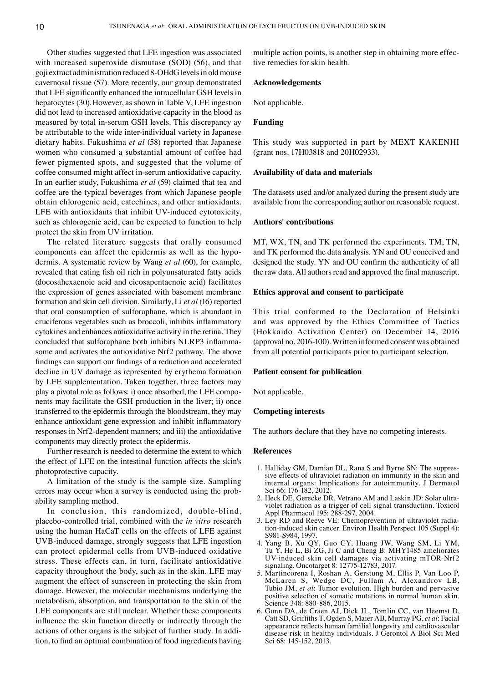Other studies suggested that LFE ingestion was associated with increased superoxide dismutase (SOD) (56), and that goji extract administration reduced 8‑OHdG levels in old mouse cavernosal tissue (57). More recently, our group demonstrated that LFE significantly enhanced the intracellular GSH levels in hepatocytes (30). However, as shown in Table V, LFE ingestion did not lead to increased antioxidative capacity in the blood as measured by total in‑serum GSH levels. This discrepancy ay be attributable to the wide inter-individual variety in Japanese dietary habits. Fukushima *et al* (58) reported that Japanese women who consumed a substantial amount of coffee had fewer pigmented spots, and suggested that the volume of coffee consumed might affect in‑serum antioxidative capacity. In an earlier study, Fukushima *et al* (59) claimed that tea and coffee are the typical beverages from which Japanese people obtain chlorogenic acid, catechines, and other antioxidants. LFE with antioxidants that inhibit UV-induced cytotoxicity, such as chlorogenic acid, can be expected to function to help protect the skin from UV irritation.

The related literature suggests that orally consumed components can affect the epidermis as well as the hypodermis. A systematic review by Wang *et al* (60), for example, revealed that eating fish oil rich in polyunsaturated fatty acids (docosahexaenoic acid and eicosapentaenoic acid) facilitates the expression of genes associated with basement membrane formation and skin cell division. Similarly, Li *et al* (16) reported that oral consumption of sulforaphane, which is abundant in cruciferous vegetables such as broccoli, inhibits inflammatory cytokines and enhances antioxidative activity in the retina. They concluded that sulforaphane both inhibits NLRP3 inflammasome and activates the antioxidative Nrf2 pathway. The above findings can support our findings of a reduction and accelerated decline in UV damage as represented by erythema formation by LFE supplementation. Taken together, three factors may play a pivotal role as follows: i) once absorbed, the LFE components may facilitate the GSH production in the liver; ii) once transferred to the epidermis through the bloodstream, they may enhance antioxidant gene expression and inhibit inflammatory responses in Nrf2‑dependent manners; and iii) the antioxidative components may directly protect the epidermis.

Further research is needed to determine the extent to which the effect of LFE on the intestinal function affects the skin's photoprotective capacity.

A limitation of the study is the sample size. Sampling errors may occur when a survey is conducted using the probability sampling method.

In conclusion, this randomized, double-blind, placebo‑controlled trial, combined with the *in vitro* research using the human HaCaT cells on the effects of LFE against UVB‑induced damage, strongly suggests that LFE ingestion can protect epidermal cells from UVB‑induced oxidative stress. These effects can, in turn, facilitate antioxidative capacity throughout the body, such as in the skin. LFE may augment the effect of sunscreen in protecting the skin from damage. However, the molecular mechanisms underlying the metabolism, absorption, and transportation to the skin of the LFE components are still unclear. Whether these components influence the skin function directly or indirectly through the actions of other organs is the subject of further study. In addition, to find an optimal combination of food ingredients having multiple action points, is another step in obtaining more effective remedies for skin health.

## **Acknowledgements**

Not applicable.

## **Funding**

This study was supported in part by MEXT KAKENHI (grant nos. 17H03818 and 20H02933).

#### **Availability of data and materials**

The datasets used and/or analyzed during the present study are available from the corresponding author on reasonable request.

#### **Authors' contributions**

MT, WX, TN, and TK performed the experiments. TM, TN, and TK performed the data analysis. YN and OU conceived and designed the study. YN and OU confirm the authenticity of all the raw data. All authors read and approved the final manuscript.

#### **Ethics approval and consent to participate**

This trial conformed to the Declaration of Helsinki and was approved by the Ethics Committee of Tactics (Hokkaido Activation Center) on December 14, 2016 (approval no. 2016‑100). Written informed consent was obtained from all potential participants prior to participant selection.

### **Patient consent for publication**

Not applicable.

## **Competing interests**

The authors declare that they have no competing interests.

#### **References**

- 1. Halliday GM, Damian DL, Rana S and Byrne SN: The suppressive effects of ultraviolet radiation on immunity in the skin and internal organs: Implications for autoimmunity. J Dermatol Sci 66: 176‑182, 2012.
- 2. Heck DE, Gerecke DR, Vetrano AM and Laskin JD: Solar ultraviolet radiation as a trigger of cell signal transduction. Toxicol Appl Pharmacol 195: 288‑297, 2004.
- 3. Ley RD and Reeve VE: Chemoprevention of ultraviolet radia‑ tion-induced skin cancer. Environ Health Perspect 105 (Suppl 4): S981-S984, 1997.
- 4. Yang B, Xu QY, Guo CY, Huang JW, Wang SM, Li YM, Tu Y, He L, Bi ZG, Ji C and Cheng B: MHY1485 ameliorates UV‑induced skin cell damages via activating mTOR‑Nrf2 signaling. Oncotarget 8: 12775‑12783, 2017.
- 5. Martincorena I, Roshan A, Gerstung M, Ellis P, Van Loo P, McLaren S, Wedge DC, Fullam A, Alexandrov LB, Tubio JM, *et al*: Tumor evolution. High burden and pervasive positive selection of somatic mutations in normal human skin. Science 348: 880‑886, 2015.
- 6. Gunn DA, de Craen AJ, Dick JL, Tomlin CC, van Heemst D, Catt SD, Griffiths T, Ogden S, Maier AB, Murray PG, *et al*: Facial appearance reflects human familial longevity and cardiovascular disease risk in healthy individuals. J Gerontol A Biol Sci Med Sci 68: 145‑152, 2013.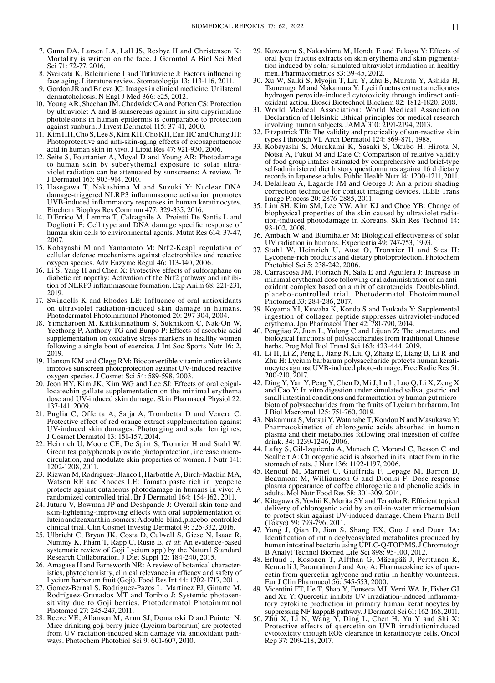- 7. Gunn DA, Larsen LA, Lall JS, Rexbye H and Christensen K: Mortality is written on the face. J Gerontol A Biol Sci Med Sci 71: 72-77, 2016.
- 8. Sveikata K, Balciuniene I and Tutkuviene J: Factors influencing face aging. Literature review. Stomatologija 13: 113‑116, 2011.
- 9. Gordon JR and Brieva JC: Images in clinical medicine. Unilateral dermatoheliosis. N Engl J Med 366: e25, 2012.
- 10. Young AR, Sheehan JM, Chadwick CA and Potten CS: Protection by ultraviolet A and B sunscreens against in situ dipyrimidine photolesions in human epidermis is comparable to protection against sunburn. J Invest Dermatol 115: 37‑41, 2000.
- 11. Kim HH, Cho S, Lee S, Kim KH, Cho KH, Eun HC and Chung JH: Photoprotective and anti‑skin‑aging effects of eicosapentaenoic acid in human skin in vivo. J Lipid Res 47: 921‑930, 2006.
- 12. Seite S, Fourtanier A, Moyal  $\tilde{D}$  and Young AR: Photodamage to human skin by suberythemal exposure to solar ultraviolet radiation can be attenuated by sunscreens: A review. Br J Dermatol 163: 903‑914, 2010.
- 13. Hasegawa T, Nakashima M and Suzuki Y: Nuclear DNA damage‑triggered NLRP3 inflammasome activation promotes UVB‑induced inflammatory responses in human keratinocytes. Biochem Biophys Res Commun 477: 329‑335, 2016.
- 14. D'Errico M, Lemma T, Calcagnile A, Proietti De Santis L and Dogliotti E: Cell type and DNA damage specific response of human skin cells to environmental agents. Mutat Res 614: 37-47, 2007.
- 15. Kobayashi M and Yamamoto M: Nrf2‑Keap1 regulation of cellular defense mechanisms against electrophiles and reactive oxygen species. Adv Enzyme Regul 46: 113‑140, 2006.
- 16. Li  $\widetilde{S}$ , Yang H and Chen  $\check{X}$ : Protective effects of sulforaphane on diabetic retinopathy: Activation of the Nrf2 pathway and inhibition of NLRP3 inflammasome formation. Exp Anim 68: 221‑231, 2019.
- 17. Swindells K and Rhodes LE: Influence of oral antioxidants on ultraviolet radiation‑induced skin damage in humans. Photodermatol Photoimmunol Photomed 20: 297‑304, 2004.
- 18. Yimcharoen M, Kittikunnathum S, Suknikorn C, Nak‑On W, Yeethong P, Anthony TG and Bunpo P: Effects of ascorbic acid supplementation on oxidative stress markers in healthy women following a single bout of exercise. J Int Soc Sports Nutr 16: 2, 2019.
- 19. Hanson KM and Clegg RM: Bioconvertible vitamin antioxidants improve sunscreen photoprotection against UV‑induced reactive oxygen species. J Cosmet Sci 54: 589‑598, 2003.
- 20. Jeon HY, Kim JK, Kim WG and Lee SJ: Effects of oral epigallocatechin gallate supplementation on the minimal erythema dose and UV-induced skin damage. Skin Pharmacol Physiol 22: 137‑141, 2009.
- 21. Puglia C, Offerta A, Saija A, Trombetta D and Venera C: Protective effect of red orange extract supplementation against UV‑induced skin damages: Photoaging and solar lentigines. J Cosmet Dermatol 13: 151‑157, 2014.
- 22. Heinrich U, Moore CE, De Spirt S, Tronnier H and Stahl W: Green tea polyphenols provide photoprotection, increase microcirculation, and modulate skin properties of women. J Nutr 141: 1202‑1208, 2011.
- 23. Rizwan M, Rodriguez‑Blanco I, Harbottle A, Birch‑Machin MA, Watson RE and Rhodes LE: Tomato paste rich in lycopene protects against cutaneous photodamage in humans in vivo: A randomized controlled trial. Br J Dermatol 164: 154‑162, 2011.
- 24. Juturu V, Bowman JP and Deshpande J: Overall skin tone and skin-lightening-improving effects with oral supplementation of lutein and zeaxanthin isomers: A double‑blind, placebo‑controlled clinical trial. Clin Cosmet Investig Dermatol 9: 325‑332, 2016.
- 25. Ulbricht C, Bryan JK, Costa D, Culwell S, Giese N, Isaac R, Nummy K, Pham T, Rapp C, Rusie E, *et al*: An evidence‑based systematic review of Goji Lycium spp.) by the Natural Standard Research Collaboration. J Diet Suppl 12: 184-240, 2015.
- 26. Amagase H and Farnsworth NR: A review of botanical characteristics, phytochemistry, clinical relevance in efficacy and safety of Lycium barbarum fruit (Goji). Food Res Int 44: 1702‑1717, 2011.
- 27. Gomez‑Bernal S, Rodriguez‑Pazos L, Martinez FJ, Ginarte M, Rodríguez-Granados MT and Toribio J: Systemic photosensitivity due to Goji berries. Photodermatol Photoimmunol Photomed 27: 245‑247, 2011.
- 28. Reeve VE, Allanson M, Arun SJ, Domanski D and Painter N: Mice drinking goji berry juice (Lycium barbarum) are protected from UV radiation-induced skin damage via antioxidant pathways. Photochem Photobiol Sci 9: 601‑607, 2010.
- 29. Kuwazuru S, Nakashima M, Honda E and Fukaya Y: Effects of tion induced by solar-simulated ultraviolet irradiation in healthy men. Pharmacometrics 83: 39‑45, 2012.
- 30. Xu W, Saiki S, Myojin T, Liu Y, Zhu B, Murata Y, Ashida H, Tsunenaga M and Nakamura Y: Lycii fructus extract ameliorates oxidant action. Biosci Biotechnol Biochem 82: 1812‑1820, 2018.
- 31. World Medical Association: World Medical Association Declaration of Helsinki: Ethical principles for medical research involving human subjects. JAMA 310: 2191‑2194, 2013.
- 32. Fitzpatrick TB: The validity and practicality of sun-reactive skin types I through VI. Arch Dermatol 124: 869-871, 1988.
- 33. Kobayashi S, Murakami K, Sasaki S, Okubo H, Hirota N, Notsu A, Fukui M and Date C: Comparison of relative validity of food group intakes estimated by comprehensive and brief-type self-administered diet history questionnaires against 16 d dietary records in Japanese adults. Public Health Nutr 14: 1200‑1211, 2011.
- 34. Delalleau  $\overrightarrow{A}$ , Lagarde JM and George J: An a priori shading correction technique for contact imaging devices. IEEE Trans Image Process 20: 2876‑2885, 2011.
- 35. Lim SH, Kim SM, Lee YW, Ahn KJ and Choe YB: Change of tion-induced photodamage in Koreans. Skin Res Technol 14: 93‑102, 2008.
- 36. Ambach W and Blumthaler M: Biological effectiveness of solar UV radiation in humans. Experientia 49: 747‑753, 1993.
- 37. Stahl W, Heinrich U, Aust O, Tronnier H and Sies H: Lycopene‑rich products and dietary photoprotection. Photochem Photobiol Sci 5: 238-242, 2006.
- 38. Carrascosa JM, Floriach N, Sala E and Aguilera J: Increase in oxidant complex based on a mix of carotenoids: Double-blind, placebo‑controlled trial. Photodermatol Photoimmunol Photomed 33: 284‑286, 2017.
- 39. Koyama YI, Kuwaba K, Kondo S and Tsukada Y: Supplemental ingestion of collagen peptide suppresses uitraviolet‑induced erythema. Jpn Pharmacol Ther 42: 781‑790, 2014.
- 40. Pengjiao Z, Juan L, Yulong C and Lijuan Z: The structures and biological functions of polysaccharides from traditional Chinese herbs. Prog Mol Biol Transl Sci 163: 423‑444, 2019.
- 41. Li H, Li Z, Peng L, Jiang N, Liu Q, Zhang E, Liang B, Li R and Zhu H: Lycium barbarum polysaccharide protects human keratinocytes against UVB-induced photo-damage. Free Radic Res 51: 200‑210, 2017.
- 42. Ding Y, Yan Y, Peng Y, Chen D, Mi J, Lu L, Luo Q, Li X, Zeng X and Cao Y: In vitro digestion under simulated saliva, gastric and biota of polysaccharides from the fruits of Lycium barbarum. Int J Biol Macromol 125: 751‑760, 2019.
- 43. Nakamura S, Matsui Y, Watanabe T, Kondou N and Masukawa Y: Pharmacokinetics of chlorogenic acids absorbed in human plasma and their metabolites following oral ingestion of coffee drink. 34: 1239‑1246, 2006.
- 44. Lafay S, Gil‑Izquierdo A, Manach C, Morand C, Besson C and Scalbert A: Chlorogenic acid is absorbed in its intact form in the stomach of rats. J Nutr 136: 1192‑1197, 2006.
- 45. Renouf M, Marmet C, Giuffrida F, Lepage M, Barron D, Beaumont M, Williamson G and Dionisi F: Dose-response plasma appearance of coffee chlorogenic and phenolic acids in adults. Mol Nutr Food Res 58: 301‑309, 2014.
- 46. Kitagawa S, Yoshii K, Morita SY and Teraoka R: Efficient topical delivery of chlorogenic acid by an oil‑in‑water microemulsion to protect skin against UV‑induced damage. Chem Pharm Bull (Tokyo) 59: 793‑796, 2011.
- 47. Yang J, Qian D, Jian S, Shang EX, Guo J and Duan JA: Identification of rutin deglycosylated metabolites produced by human intestinal bacteria using UPLC-Q-TOF/MS. J Chromatogr B Analyt Technol Biomed Life Sci 898: 95‑100, 2012.
- 48. Erlund I, Kosonen T, Alfthan G, Mäenpää J, Perttunen K, cetin from quercetin aglycone and rutin in healthy volunteers. Eur J Clin Pharmacol 56: 545‑553, 2000.
- 49. Vicentini FT, He T, Shao Y, Fonseca MJ, Verri WA Jr, Fisher GJ tory cytokine production in primary human keratinocytes by suppressing NF‑kappaB pathway. J Dermatol Sci 61: 162‑168, 2011.
- 50. Zhu X, Li N, Wang Y, Ding L, Chen H, Yu Y and Shi X: Protective effects of quercetin on UVB irradiationinduced cytotoxicity through ROS clearance in keratinocyte cells. Oncol Rep 37: 209‑218, 2017.